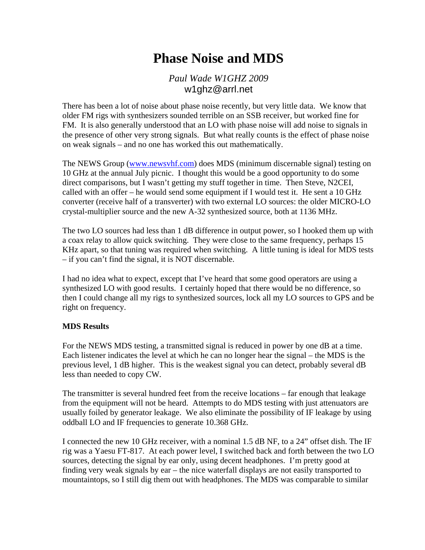# **Phase Noise and MDS**

*Paul Wade W1GHZ 2009* w1ghz@arrl.net

There has been a lot of noise about phase noise recently, but very little data. We know that older FM rigs with synthesizers sounded terrible on an SSB receiver, but worked fine for FM. It is also generally understood that an LO with phase noise will add noise to signals in the presence of other very strong signals. But what really counts is the effect of phase noise on weak signals – and no one has worked this out mathematically.

The NEWS Group [\(www.newsvhf.com\)](http://www.newsvhf.com/) does MDS (minimum discernable signal) testing on 10 GHz at the annual July picnic. I thought this would be a good opportunity to do some direct comparisons, but I wasn't getting my stuff together in time. Then Steve, N2CEI, called with an offer – he would send some equipment if I would test it. He sent a 10 GHz converter (receive half of a transverter) with two external LO sources: the older MICRO-LO crystal-multiplier source and the new A-32 synthesized source, both at 1136 MHz.

The two LO sources had less than 1 dB difference in output power, so I hooked them up with a coax relay to allow quick switching. They were close to the same frequency, perhaps 15 KHz apart, so that tuning was required when switching. A little tuning is ideal for MDS tests – if you can't find the signal, it is NOT discernable.

I had no idea what to expect, except that I've heard that some good operators are using a synthesized LO with good results. I certainly hoped that there would be no difference, so then I could change all my rigs to synthesized sources, lock all my LO sources to GPS and be right on frequency.

## **MDS Results**

For the NEWS MDS testing, a transmitted signal is reduced in power by one dB at a time. Each listener indicates the level at which he can no longer hear the signal – the MDS is the previous level, 1 dB higher. This is the weakest signal you can detect, probably several dB less than needed to copy CW.

The transmitter is several hundred feet from the receive locations – far enough that leakage from the equipment will not be heard. Attempts to do MDS testing with just attenuators are usually foiled by generator leakage. We also eliminate the possibility of IF leakage by using oddball LO and IF frequencies to generate 10.368 GHz.

I connected the new 10 GHz receiver, with a nominal 1.5 dB NF, to a 24" offset dish. The IF rig was a Yaesu FT-817. At each power level, I switched back and forth between the two LO sources, detecting the signal by ear only, using decent headphones. I'm pretty good at finding very weak signals by ear – the nice waterfall displays are not easily transported to mountaintops, so I still dig them out with headphones. The MDS was comparable to similar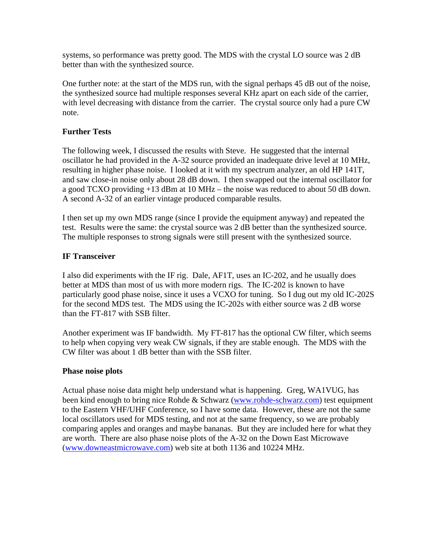systems, so performance was pretty good. The MDS with the crystal LO source was 2 dB better than with the synthesized source.

One further note: at the start of the MDS run, with the signal perhaps 45 dB out of the noise, the synthesized source had multiple responses several KHz apart on each side of the carrier, with level decreasing with distance from the carrier. The crystal source only had a pure CW note.

# **Further Tests**

The following week, I discussed the results with Steve. He suggested that the internal oscillator he had provided in the A-32 source provided an inadequate drive level at 10 MHz, resulting in higher phase noise. I looked at it with my spectrum analyzer, an old HP 141T, and saw close-in noise only about 28 dB down. I then swapped out the internal oscillator for a good TCXO providing +13 dBm at 10 MHz – the noise was reduced to about 50 dB down. A second A-32 of an earlier vintage produced comparable results.

I then set up my own MDS range (since I provide the equipment anyway) and repeated the test. Results were the same: the crystal source was 2 dB better than the synthesized source. The multiple responses to strong signals were still present with the synthesized source.

# **IF Transceiver**

I also did experiments with the IF rig. Dale, AF1T, uses an IC-202, and he usually does better at MDS than most of us with more modern rigs. The IC-202 is known to have particularly good phase noise, since it uses a VCXO for tuning. So I dug out my old IC-202S for the second MDS test. The MDS using the IC-202s with either source was 2 dB worse than the FT-817 with SSB filter.

Another experiment was IF bandwidth. My FT-817 has the optional CW filter, which seems to help when copying very weak CW signals, if they are stable enough. The MDS with the CW filter was about 1 dB better than with the SSB filter.

## **Phase noise plots**

Actual phase noise data might help understand what is happening. Greg, WA1VUG, has been kind enough to bring nice Rohde & Schwarz [\(www.rohde-schwarz.com](http://www.rohde-schwarz.com/)) test equipment to the Eastern VHF/UHF Conference, so I have some data. However, these are not the same local oscillators used for MDS testing, and not at the same frequency, so we are probably comparing apples and oranges and maybe bananas. But they are included here for what they are worth. There are also phase noise plots of the A-32 on the Down East Microwave ([www.downeastmicrowave.com](http://www.downeastmicrowave.com/)) web site at both 1136 and 10224 MHz.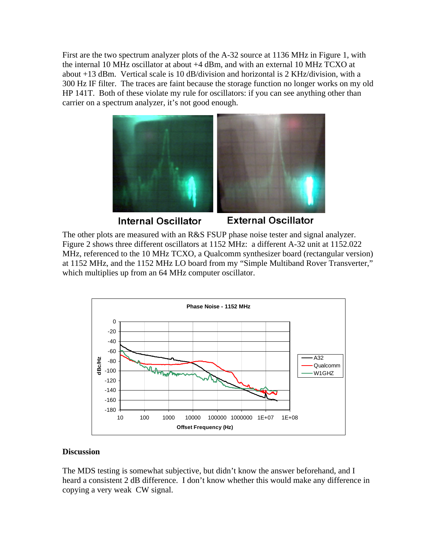First are the two spectrum analyzer plots of the A-32 source at 1136 MHz in Figure 1, with the internal 10 MHz oscillator at about +4 dBm, and with an external 10 MHz TCXO at about +13 dBm. Vertical scale is 10 dB/division and horizontal is 2 KHz/division, with a 300 Hz IF filter. The traces are faint because the storage function no longer works on my old HP 141T. Both of these violate my rule for oscillators: if you can see anything other than carrier on a spectrum analyzer, it's not good enough.



**Internal Oscillator** 

**External Oscillator** 

The other plots are measured with an R&S FSUP phase noise tester and signal analyzer. Figure 2 shows three different oscillators at 1152 MHz: a different A-32 unit at 1152.022 MHz, referenced to the 10 MHz TCXO, a Qualcomm synthesizer board (rectangular version) at 1152 MHz, and the 1152 MHz LO board from my "Simple Multiband Rover Transverter," which multiplies up from an 64 MHz computer oscillator.



## **Discussion**

The MDS testing is somewhat subjective, but didn't know the answer beforehand, and I heard a consistent 2 dB difference. I don't know whether this would make any difference in copying a very weak CW signal.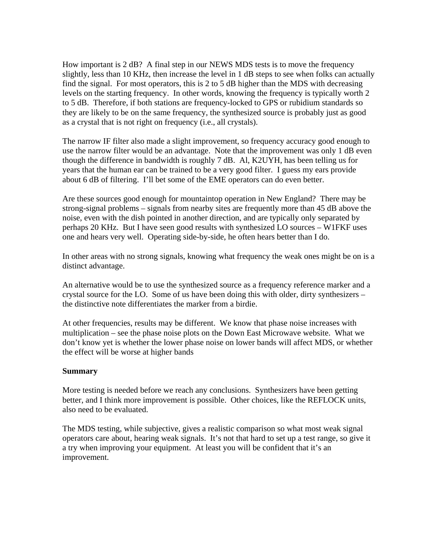How important is 2 dB? A final step in our NEWS MDS tests is to move the frequency slightly, less than 10 KHz, then increase the level in 1 dB steps to see when folks can actually find the signal. For most operators, this is 2 to 5 dB higher than the MDS with decreasing levels on the starting frequency. In other words, knowing the frequency is typically worth 2 to 5 dB. Therefore, if both stations are frequency-locked to GPS or rubidium standards so they are likely to be on the same frequency, the synthesized source is probably just as good as a crystal that is not right on frequency (i.e., all crystals).

The narrow IF filter also made a slight improvement, so frequency accuracy good enough to use the narrow filter would be an advantage. Note that the improvement was only 1 dB even though the difference in bandwidth is roughly 7 dB. Al, K2UYH, has been telling us for years that the human ear can be trained to be a very good filter. I guess my ears provide about 6 dB of filtering. I'll bet some of the EME operators can do even better.

Are these sources good enough for mountaintop operation in New England? There may be strong-signal problems – signals from nearby sites are frequently more than 45 dB above the noise, even with the dish pointed in another direction, and are typically only separated by perhaps 20 KHz. But I have seen good results with synthesized LO sources – W1FKF uses one and hears very well. Operating side-by-side, he often hears better than I do.

In other areas with no strong signals, knowing what frequency the weak ones might be on is a distinct advantage.

An alternative would be to use the synthesized source as a frequency reference marker and a crystal source for the LO. Some of us have been doing this with older, dirty synthesizers – the distinctive note differentiates the marker from a birdie.

At other frequencies, results may be different. We know that phase noise increases with multiplication – see the phase noise plots on the Down East Microwave website. What we don't know yet is whether the lower phase noise on lower bands will affect MDS, or whether the effect will be worse at higher bands

#### **Summary**

More testing is needed before we reach any conclusions. Synthesizers have been getting better, and I think more improvement is possible. Other choices, like the REFLOCK units, also need to be evaluated.

The MDS testing, while subjective, gives a realistic comparison so what most weak signal operators care about, hearing weak signals. It's not that hard to set up a test range, so give it a try when improving your equipment. At least you will be confident that it's an improvement.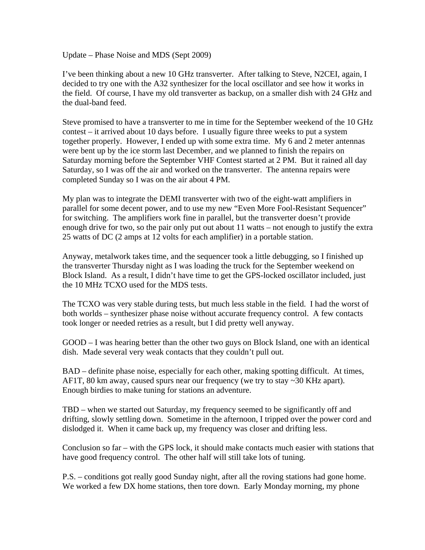Update – Phase Noise and MDS (Sept 2009)

I've been thinking about a new 10 GHz transverter. After talking to Steve, N2CEI, again, I decided to try one with the A32 synthesizer for the local oscillator and see how it works in the field. Of course, I have my old transverter as backup, on a smaller dish with 24 GHz and the dual-band feed.

Steve promised to have a transverter to me in time for the September weekend of the 10 GHz contest – it arrived about 10 days before. I usually figure three weeks to put a system together properly. However, I ended up with some extra time. My 6 and 2 meter antennas were bent up by the ice storm last December, and we planned to finish the repairs on Saturday morning before the September VHF Contest started at 2 PM. But it rained all day Saturday, so I was off the air and worked on the transverter. The antenna repairs were completed Sunday so I was on the air about 4 PM.

My plan was to integrate the DEMI transverter with two of the eight-watt amplifiers in parallel for some decent power, and to use my new "Even More Fool-Resistant Sequencer" for switching. The amplifiers work fine in parallel, but the transverter doesn't provide enough drive for two, so the pair only put out about 11 watts – not enough to justify the extra 25 watts of DC (2 amps at 12 volts for each amplifier) in a portable station.

Anyway, metalwork takes time, and the sequencer took a little debugging, so I finished up the transverter Thursday night as I was loading the truck for the September weekend on Block Island. As a result, I didn't have time to get the GPS-locked oscillator included, just the 10 MHz TCXO used for the MDS tests.

The TCXO was very stable during tests, but much less stable in the field. I had the worst of both worlds – synthesizer phase noise without accurate frequency control. A few contacts took longer or needed retries as a result, but I did pretty well anyway.

GOOD – I was hearing better than the other two guys on Block Island, one with an identical dish. Made several very weak contacts that they couldn't pull out.

BAD – definite phase noise, especially for each other, making spotting difficult. At times, AF1T, 80 km away, caused spurs near our frequency (we try to stay ~30 KHz apart). Enough birdies to make tuning for stations an adventure.

TBD – when we started out Saturday, my frequency seemed to be significantly off and drifting, slowly settling down. Sometime in the afternoon, I tripped over the power cord and dislodged it. When it came back up, my frequency was closer and drifting less.

Conclusion so far – with the GPS lock, it should make contacts much easier with stations that have good frequency control. The other half will still take lots of tuning.

P.S. – conditions got really good Sunday night, after all the roving stations had gone home. We worked a few DX home stations, then tore down. Early Monday morning, my phone